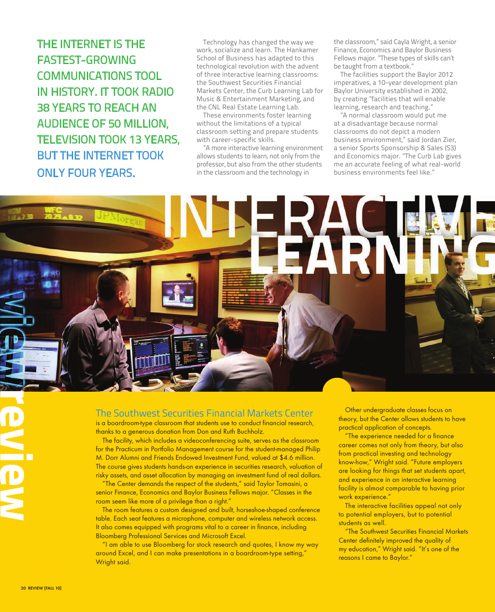THE INTERNET IS THE FASTEST-GROWING COMMUNICATIONS TOOL IN HISTORY. IT TOOK RADIO 38 YEARS TO REACH AN AUDIENCE OF 50 MILLION, TELEVISION TOOK 13 YEARS, BUT THE INTERNET TOOK ONLY FOUR YEARS.

Technology has changed the way we work, socialize and learn. The Hankamer School of Business has adapted to this technological revolution with the advent of three interactive learning classrooms: the Southwest Securities Financial Markets Center, the Curb Learning Lab for Music & Entertainment Marketing, and the CNL Real Estate Learning Lab.

These environments foster learning without the limitations of a typical classroom setting and prepare students with career-specific skills.

"A more interactive learning environment allows students to learn, not only from the professor, but also from the other students in the classroom and the technology in

the classroom," said Cayla Wright, a senior Finance, Economics and Baylor Business Fellows major. "These types of skills can't be taught from a textbook."

The facilities support the Baylor 2012 imperatives, a 10-year development plan Baylor University established in 2002, by creating "facilities that will enable learning, research and teaching."

"A normal classroom would put me at a disadvantage because normal classrooms do not depict a modern business environment," said Jordan Zier, a senior Sports Sponsorship & Sales (S3) and Economics major. "The Curb Lab gives me an accurate feeling of what real-world business environments feel like."

## The Southwest Securities Financial Markets Center

is a boardroom-type classroom that students use to conduct financial research, thanks to a generous donation from Don and Ruth Buchholz.

The facility, which includes a videoconferencing suite, serves as the classroom for the Practicum in Portfolio Management course for the student-managed Philip M. Dorr Alumni and Friends Endowed Investment Fund, valued at \$4.6 million. The course gives students hands-on experience in securities research, valuation of risky assets, and asset allocation by managing an investment fund of real dollars.

"The Center demands the respect of the students," said Taylor Tomasini, a senior Finance, Economics and Baylor Business Fellows major. "Classes in the room seem like more of a privilege than a right."

The room features a custom designed and built, horseshoe-shaped conference table. Each seat features a microphone, computer and wireless network access. It also comes equipped with programs vital to a career in finance, including Bloomberg Professional Services and Microsoft Excel.

"I am able to use Bloomberg for stock research and quotes, I know my way around Excel, and I can make presentations in a boardroom-type setting," Wright said.

Other undergraduate classes focus on theory, but the Center allows students to have practical application of concepts.

"The experience needed for a finance career comes not only from theory, but also from practical investing and technology know-how," Wright said. "Future employers are looking for things that set students apart, and experience in an interactive learning facility is almost comparable to having prior work experience."

The interactive facilities appeal not only to potential employers, but to potential students as well.

"The Southwest Securities Financial Markets Center definitely improved the quality of my education," Wright said. "It's one of the reasons I came to Baylor."

**review**